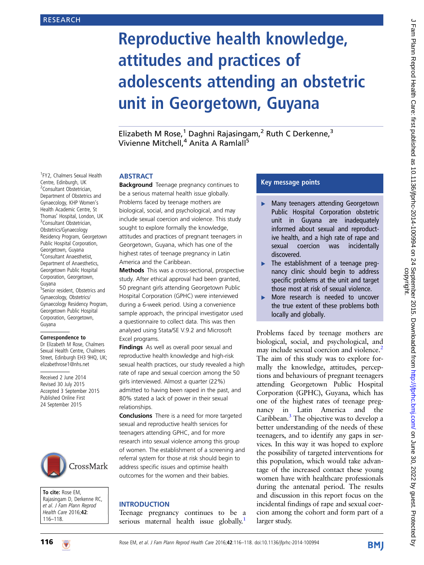# Reproductive health knowledge, attitudes and practices of adolescents attending an obstetric unit in Georgetown, Guyana

Elizabeth M Rose, "Daghni Rajasingam," Ruth C Derkenne,"<br>Vivienne Mitchell <sup>4</sup> Anita A Ramlall<sup>5</sup> Vivienne Mitchell, Anita A Ramiall<sup>1</sup>

1 FY2, Chalmers Sexual Health Centre, Edinburgh, UK 2 Consultant Obstetrician, Department of Obstetrics and Gynaecology, KHP Women's Health Academic Centre, St Thomas' Hospital, London, UK <sup>3</sup> <sup>3</sup>Consultant Obstetrician, Obstetrics/Gynaecology Residency Program, Georgetown Public Hospital Corporation, Georgetown, Guyana 4 Consultant Anaesthetist, Department of Anaesthetics, Georgetown Public Hospital Corporation, Georgetown, Guyana <sup>5</sup>Senior resident, Obstetrics and Gynaecology, Obstetrics/ Gynaecology Residency Program, Georgetown Public Hospital Corporation, Georgetown, Guyana

#### Correspondence to

Dr Elizabeth M Rose, Chalmers Sexual Health Centre, Chalmers Street, Edinburgh EH3 9HQ, UK; elizabethrose1@nhs.net

Received 2 June 2014 Revised 30 July 2015 Accepted 3 September 2015 Published Online First 24 September 2015



To cite: Rose EM, Rajasingam D, Derkenne RC, et al. J Fam Plann Reprod Health Care 2016;42: 116–118.

#### **ABSTRACT**

**Background** Teenage pregnancy continues to be a serious maternal health issue globally. Problems faced by teenage mothers are biological, social, and psychological, and may include sexual coercion and violence. This study sought to explore formally the knowledge, attitudes and practices of pregnant teenagers in Georgetown, Guyana, which has one of the highest rates of teenage pregnancy in Latin America and the Caribbean.

Methods This was a cross-sectional, prospective study. After ethical approval had been granted, 50 pregnant girls attending Georgetown Public Hospital Corporation (GPHC) were interviewed during a 6-week period. Using a convenience sample approach, the principal investigator used a questionnaire to collect data. This was then analysed using Stata/SE V.9.2 and Microsoft Excel programs.

Findings As well as overall poor sexual and reproductive health knowledge and high-risk sexual health practices, our study revealed a high rate of rape and sexual coercion among the 50 girls interviewed. Almost a quarter (22%) admitted to having been raped in the past, and 80% stated a lack of power in their sexual relationships.

Conclusions There is a need for more targeted sexual and reproductive health services for teenagers attending GPHC, and for more research into sexual violence among this group of women. The establishment of a screening and referral system for those at risk should begin to address specific issues and optimise health outcomes for the women and their babies.

## **INTRODUCTION**

Teenage pregnancy continues to be a serious maternal health issue globally.<sup>1</sup>

#### Key message points

- ▸ Many teenagers attending Georgetown Public Hospital Corporation obstetric unit in Guyana are inadequately informed about sexual and reproductive health, and a high rate of rape and sexual coercion was incidentally discovered.
- ▸ The establishment of a teenage pregnancy clinic should begin to address specific problems at the unit and target those most at risk of sexual violence.
- More research is needed to uncover the true extent of these problems both locally and globally.

Problems faced by teenage mothers are biological, social, and psychological, and may include sexual coercion and violence.<sup>2</sup> The aim of this study was to explore formally the knowledge, attitudes, perceptions and behaviours of pregnant teenagers attending Georgetown Public Hospital Corporation (GPHC), Guyana, which has one of the highest rates of teenage pregnancy in Latin America and the Caribbean.<sup>[3](#page-2-0)</sup> The objective was to develop a better understanding of the needs of these teenagers, and to identify any gaps in services. In this way it was hoped to explore the possibility of targeted interventions for this population, which would take advantage of the increased contact these young women have with healthcare professionals during the antenatal period. The results and discussion in this report focus on the incidental findings of rape and sexual coercion among the cohort and form part of a larger study.

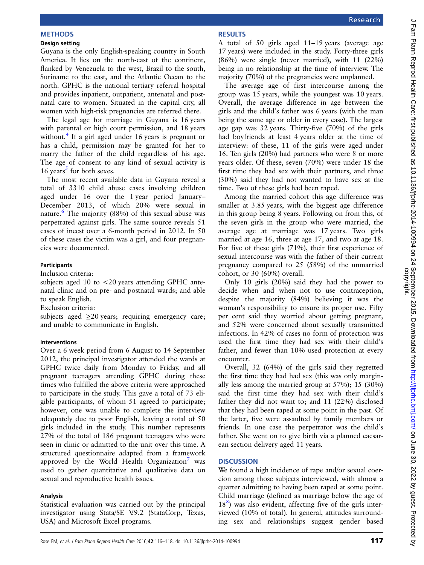## **METHODS**

#### Design setting

Guyana is the only English-speaking country in South America. It lies on the north-east of the continent, flanked by Venezuela to the west, Brazil to the south, Suriname to the east, and the Atlantic Ocean to the north. GPHC is the national tertiary referral hospital and provides inpatient, outpatient, antenatal and postnatal care to women. Situated in the capital city, all women with high-risk pregnancies are referred there.

The legal age for marriage in Guyana is 16 years with parental or high court permission, and 18 years without.<sup>[4](#page-2-0)</sup> If a girl aged under 16 years is pregnant or has a child, permission may be granted for her to marry the father of the child regardless of his age. The age of consent to any kind of sexual activity is 16 years $\delta$  for both sexes.

The most recent available data in Guyana reveal a total of 3310 child abuse cases involving children aged under 16 over the 1 year period January– December 2013, of which 20% were sexual in nature.<sup>6</sup> The majority (88%) of this sexual abuse was perpetrated against girls. The same source reveals 51 cases of incest over a 6-month period in 2012. In 50 of these cases the victim was a girl, and four pregnancies were documented.

## Participants

Inclusion criteria:

subjects aged 10 to <20 years attending GPHC antenatal clinic and on pre- and postnatal wards; and able to speak English.

Exclusion criteria:

subjects aged  $\geq 20$  years; requiring emergency care; and unable to communicate in English.

#### Interventions

Over a 6 week period from 6 August to 14 September 2012, the principal investigator attended the wards at GPHC twice daily from Monday to Friday, and all pregnant teenagers attending GPHC during these times who fulfilled the above criteria were approached to participate in the study. This gave a total of 73 eligible participants, of whom 51 agreed to participate; however, one was unable to complete the interview adequately due to poor English, leaving a total of 50 girls included in the study. This number represents 27% of the total of 186 pregnant teenagers who were seen in clinic or admitted to the unit over this time. A structured questionnaire adapted from a framework approved by the World Health Organization $\prime$  was used to gather quantitative and qualitative data on sexual and reproductive health issues.

## Analysis

Statistical evaluation was carried out by the principal investigator using Stata/SE V.9.2 (StataCorp, Texas, USA) and Microsoft Excel programs.

# RESULTS

A total of 50 girls aged 11–19 years (average age 17 years) were included in the study. Forty-three girls (86%) were single (never married), with 11 (22%) being in no relationship at the time of interview. The majority (70%) of the pregnancies were unplanned.

The average age of first intercourse among the group was 15 years, while the youngest was 10 years. Overall, the average difference in age between the girls and the child's father was 6 years (with the man being the same age or older in every case). The largest age gap was 32 years. Thirty-five (70%) of the girls had boyfriends at least 4 years older at the time of interview: of these, 11 of the girls were aged under 16. Ten girls (20%) had partners who were 8 or more years older. Of these, seven (70%) were under 18 the first time they had sex with their partners, and three (30%) said they had not wanted to have sex at the time. Two of these girls had been raped.

Among the married cohort this age difference was smaller at 3.85 years, with the biggest age difference in this group being 8 years. Following on from this, of the seven girls in the group who were married, the average age at marriage was 17 years. Two girls married at age 16, three at age 17, and two at age 18. For five of these girls (71%), their first experience of sexual intercourse was with the father of their current pregnancy compared to 25 (58%) of the unmarried cohort, or 30 (60%) overall.

Only 10 girls (20%) said they had the power to decide when and when not to use contraception, despite the majority (84%) believing it was the woman's responsibility to ensure its proper use. Fifty per cent said they worried about getting pregnant, and 52% were concerned about sexually transmitted infections. In 42% of cases no form of protection was used the first time they had sex with their child's father, and fewer than 10% used protection at every encounter.

Overall, 32 (64%) of the girls said they regretted the first time they had had sex (this was only marginally less among the married group at 57%); 15 (30%) said the first time they had sex with their child's father they did not want to; and 11 (22%) disclosed that they had been raped at some point in the past. Of the latter, five were assaulted by family members or friends. In one case the perpetrator was the child's father. She went on to give birth via a planned caesarean section delivery aged 11 years.

## **DISCUSSION**

We found a high incidence of rape and/or sexual coercion among those subjects interviewed, with almost a quarter admitting to having been raped at some point. Child marriage (defined as marriage below the age of 18[8](#page-2-0) ) was also evident, affecting five of the girls interviewed (10% of total). In general, attitudes surrounding sex and relationships suggest gender based